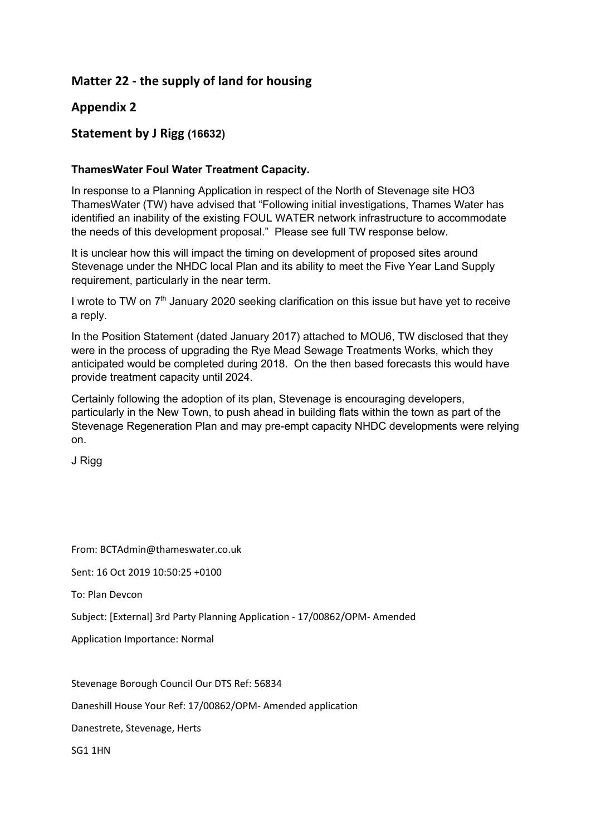# **Matter 22 - the supply of land for housing**

## **Appendix 2**

## **Statement by J Rigg (16632)**

### **ThamesWater Foul Water Treatment Capacity.**

In response to a Planning Application in respect of the North of Stevenage site HO3 ThamesWater (TW) have advised that "Following initial investigations, Thames Water has identified an inability of the existing FOUL WATER network infrastructure to accommodate the needs of this development proposal." Please see full TW response below.

It is unclear how this will impact the timing on development of proposed sites around Stevenage under the NHDC local Plan and its ability to meet the Five Year Land Supply requirement, particularly in the near term.

I wrote to TW on  $7<sup>th</sup>$  January 2020 seeking clarification on this issue but have yet to receive a reply.

In the Position Statement (dated January 2017) attached to MOU6, TW disclosed that they were in the process of upgrading the Rye Mead Sewage Treatments Works, which they anticipated would be completed during 2018. On the then based forecasts this would have provide treatment capacity until 2024.

Certainly following the adoption of its plan, Stevenage is encouraging developers, particularly in the New Town, to push ahead in building flats within the town as part of the Stevenage Regeneration Plan and may pre-empt capacity NHDC developments were relying on.

J Rigg

From: BCTAdmin@thameswater.co.uk

Sent: 16 Oct 2019 10:50:25 +0100

To: Plan Devcon

Subject: [External] 3rd Party Planning Application - 17/00862/OPM- Amended

Application Importance: Normal

Stevenage Borough Council Our DTS Ref: 56834

Daneshill House Your Ref: 17/00862/OPM- Amended application

Danestrete, Stevenage, Herts

SG1 1HN